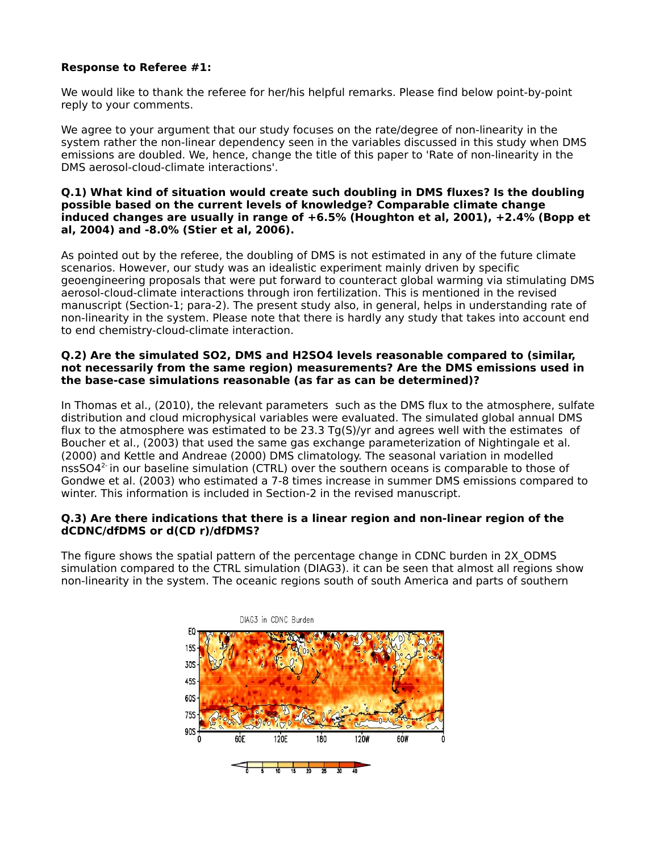# **Response to Referee #1:**

We would like to thank the referee for her/his helpful remarks. Please find below point-by-point reply to your comments.

We agree to your argument that our study focuses on the rate/degree of non-linearity in the system rather the non-linear dependency seen in the variables discussed in this study when DMS emissions are doubled. We, hence, change the title of this paper to 'Rate of non-linearity in the DMS aerosol-cloud-climate interactions'.

### **Q.1) What kind of situation would create such doubling in DMS fluxes? Is the doubling possible based on the current levels of knowledge? Comparable climate change induced changes are usually in range of +6.5% (Houghton et al, 2001), +2.4% (Bopp et al, 2004) and -8.0% (Stier et al, 2006).**

As pointed out by the referee, the doubling of DMS is not estimated in any of the future climate scenarios. However, our study was an idealistic experiment mainly driven by specific geoengineering proposals that were put forward to counteract global warming via stimulating DMS aerosol-cloud-climate interactions through iron fertilization. This is mentioned in the revised manuscript (Section-1; para-2). The present study also, in general, helps in understanding rate of non-linearity in the system. Please note that there is hardly any study that takes into account end to end chemistry-cloud-climate interaction.

### **Q.2) Are the simulated SO2, DMS and H2SO4 levels reasonable compared to (similar, not necessarily from the same region) measurements? Are the DMS emissions used in the base-case simulations reasonable (as far as can be determined)?**

In Thomas et al., (2010), the relevant parameters such as the DMS flux to the atmosphere, sulfate distribution and cloud microphysical variables were evaluated. The simulated global annual DMS flux to the atmosphere was estimated to be 23.3 Tg(S)/yr and agrees well with the estimates of Boucher et al., (2003) that used the same gas exchange parameterization of Nightingale et al. (2000) and Kettle and Andreae (2000) DMS climatology. The seasonal variation in modelled nss $SO4<sup>2</sup>$  in our baseline simulation (CTRL) over the southern oceans is comparable to those of Gondwe et al. (2003) who estimated a 7-8 times increase in summer DMS emissions compared to winter. This information is included in Section-2 in the revised manuscript.

## **Q.3) Are there indications that there is a linear region and non-linear region of the dCDNC/dfDMS or d(CD r)/dfDMS?**

The figure shows the spatial pattern of the percentage change in CDNC burden in 2X ODMS simulation compared to the CTRL simulation (DIAG3). it can be seen that almost all regions show non-linearity in the system. The oceanic regions south of south America and parts of southern

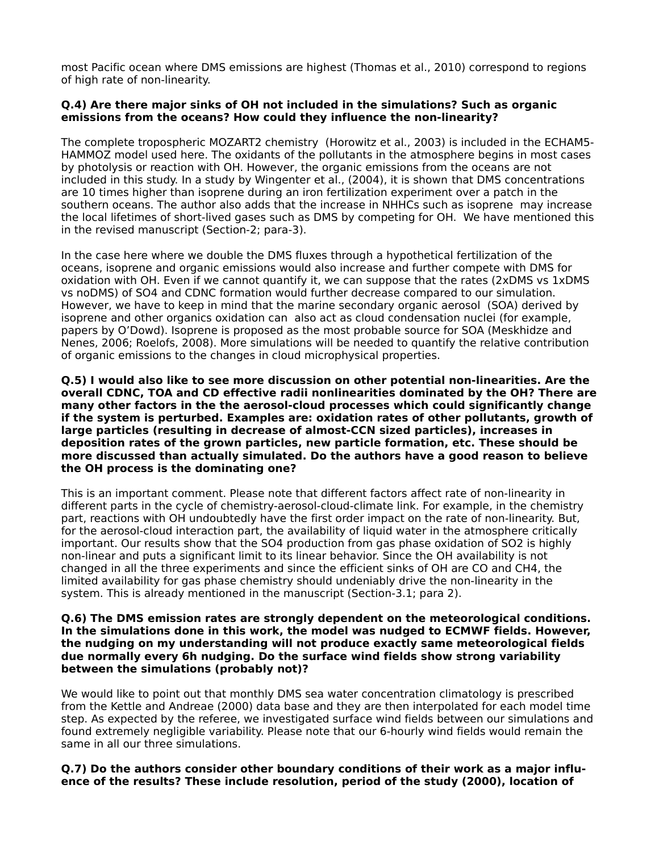most Pacific ocean where DMS emissions are highest (Thomas et al., 2010) correspond to regions of high rate of non-linearity.

### **Q.4) Are there major sinks of OH not included in the simulations? Such as organic emissions from the oceans? How could they influence the non-linearity?**

The complete tropospheric MOZART2 chemistry (Horowitz et al., 2003) is included in the ECHAM5- HAMMOZ model used here. The oxidants of the pollutants in the atmosphere begins in most cases by photolysis or reaction with OH. However, the organic emissions from the oceans are not included in this study. In a study by Wingenter et al., (2004), it is shown that DMS concentrations are 10 times higher than isoprene during an iron fertilization experiment over a patch in the southern oceans. The author also adds that the increase in NHHCs such as isoprene may increase the local lifetimes of short-lived gases such as DMS by competing for OH. We have mentioned this in the revised manuscript (Section-2; para-3).

In the case here where we double the DMS fluxes through a hypothetical fertilization of the oceans, isoprene and organic emissions would also increase and further compete with DMS for oxidation with OH. Even if we cannot quantify it, we can suppose that the rates (2xDMS vs 1xDMS vs noDMS) of SO4 and CDNC formation would further decrease compared to our simulation. However, we have to keep in mind that the marine secondary organic aerosol (SOA) derived by isoprene and other organics oxidation can also act as cloud condensation nuclei (for example, papers by O'Dowd). Isoprene is proposed as the most probable source for SOA (Meskhidze and Nenes, 2006; Roelofs, 2008). More simulations will be needed to quantify the relative contribution of organic emissions to the changes in cloud microphysical properties.

**Q.5) I would also like to see more discussion on other potential non-linearities. Are the overall CDNC, TOA and CD effective radii nonlinearities dominated by the OH? There are many other factors in the the aerosol-cloud processes which could significantly change if the system is perturbed. Examples are: oxidation rates of other pollutants, growth of large particles (resulting in decrease of almost-CCN sized particles), increases in deposition rates of the grown particles, new particle formation, etc. These should be more discussed than actually simulated. Do the authors have a good reason to believe the OH process is the dominating one?** 

This is an important comment. Please note that different factors affect rate of non-linearity in different parts in the cycle of chemistry-aerosol-cloud-climate link. For example, in the chemistry part, reactions with OH undoubtedly have the first order impact on the rate of non-linearity. But, for the aerosol-cloud interaction part, the availability of liquid water in the atmosphere critically important. Our results show that the SO4 production from gas phase oxidation of SO2 is highly non-linear and puts a significant limit to its linear behavior. Since the OH availability is not changed in all the three experiments and since the efficient sinks of OH are CO and CH4, the limited availability for gas phase chemistry should undeniably drive the non-linearity in the system. This is already mentioned in the manuscript (Section-3.1; para 2).

#### **Q.6) The DMS emission rates are strongly dependent on the meteorological conditions. In the simulations done in this work, the model was nudged to ECMWF fields. However, the nudging on my understanding will not produce exactly same meteorological fields due normally every 6h nudging. Do the surface wind fields show strong variability between the simulations (probably not)?**

We would like to point out that monthly DMS sea water concentration climatology is prescribed from the Kettle and Andreae (2000) data base and they are then interpolated for each model time step. As expected by the referee, we investigated surface wind fields between our simulations and found extremely negligible variability. Please note that our 6-hourly wind fields would remain the same in all our three simulations.

### **Q.7) Do the authors consider other boundary conditions of their work as a major influence of the results? These include resolution, period of the study (2000), location of**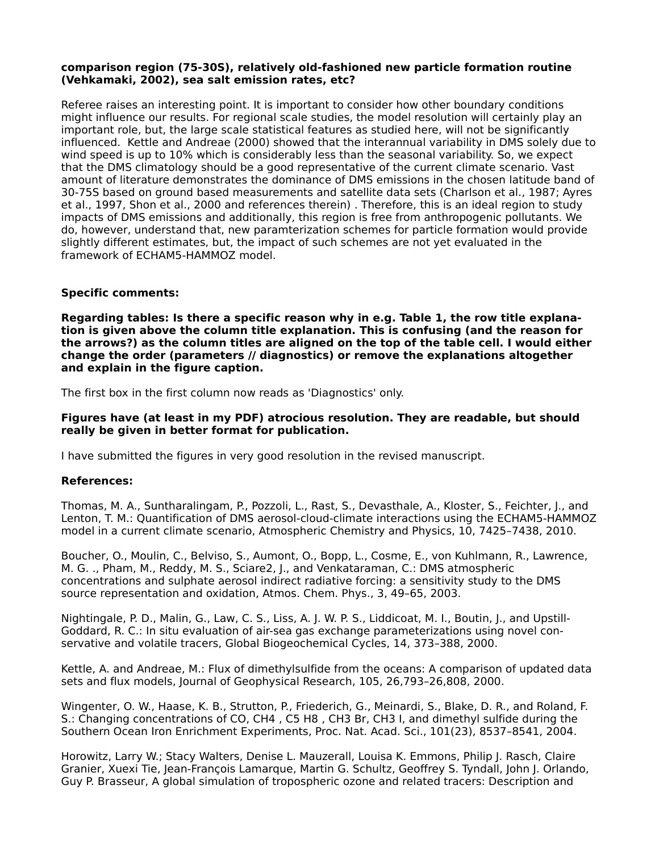### **comparison region (75-30S), relatively old-fashioned new particle formation routine (Vehkamaki, 2002), sea salt emission rates, etc?**

Referee raises an interesting point. It is important to consider how other boundary conditions might influence our results. For regional scale studies, the model resolution will certainly play an important role, but, the large scale statistical features as studied here, will not be significantly influenced. Kettle and Andreae (2000) showed that the interannual variability in DMS solely due to wind speed is up to 10% which is considerably less than the seasonal variability. So, we expect that the DMS climatology should be a good representative of the current climate scenario. Vast amount of literature demonstrates the dominance of DMS emissions in the chosen latitude band of 30-75S based on ground based measurements and satellite data sets (Charlson et al., 1987; Ayres et al., 1997, Shon et al., 2000 and references therein) . Therefore, this is an ideal region to study impacts of DMS emissions and additionally, this region is free from anthropogenic pollutants. We do, however, understand that, new paramterization schemes for particle formation would provide slightly different estimates, but, the impact of such schemes are not yet evaluated in the framework of ECHAM5-HAMMOZ model.

## **Specific comments:**

**Regarding tables: Is there a specific reason why in e.g. Table 1, the row title explanation is given above the column title explanation. This is confusing (and the reason for the arrows?) as the column titles are aligned on the top of the table cell. I would either change the order (parameters // diagnostics) or remove the explanations altogether and explain in the figure caption.**

The first box in the first column now reads as 'Diagnostics' only.

### **Figures have (at least in my PDF) atrocious resolution. They are readable, but should really be given in better format for publication.**

I have submitted the figures in very good resolution in the revised manuscript.

## **References:**

Thomas, M. A., Suntharalingam, P., Pozzoli, L., Rast, S., Devasthale, A., Kloster, S., Feichter, J., and Lenton, T. M.: Quantification of DMS aerosol-cloud-climate interactions using the ECHAM5-HAMMOZ model in a current climate scenario, Atmospheric Chemistry and Physics, 10, 7425–7438, 2010.

Boucher, O., Moulin, C., Belviso, S., Aumont, O., Bopp, L., Cosme, E., von Kuhlmann, R., Lawrence, M. G. ., Pham, M., Reddy, M. S., Sciare2, J., and Venkataraman, C.: DMS atmospheric concentrations and sulphate aerosol indirect radiative forcing: a sensitivity study to the DMS source representation and oxidation, Atmos. Chem. Phys., 3, 49–65, 2003.

Nightingale, P. D., Malin, G., Law, C. S., Liss, A. J. W. P. S., Liddicoat, M. I., Boutin, J., and Upstill-Goddard, R. C.: In situ evaluation of air-sea gas exchange parameterizations using novel conservative and volatile tracers, Global Biogeochemical Cycles, 14, 373–388, 2000.

Kettle, A. and Andreae, M.: Flux of dimethylsulfide from the oceans: A comparison of updated data sets and flux models, Journal of Geophysical Research, 105, 26,793–26,808, 2000.

Wingenter, O. W., Haase, K. B., Strutton, P., Friederich, G., Meinardi, S., Blake, D. R., and Roland, F. S.: Changing concentrations of CO, CH4 , C5 H8 , CH3 Br, CH3 I, and dimethyl sulfide during the Southern Ocean Iron Enrichment Experiments, Proc. Nat. Acad. Sci., 101(23), 8537–8541, 2004.

Horowitz, Larry W.; Stacy Walters, Denise L. Mauzerall, Louisa K. Emmons, Philip J. Rasch, Claire Granier, Xuexi Tie, Jean-François Lamarque, Martin G. Schultz, Geoffrey S. Tyndall, John J. Orlando, Guy P. Brasseur, A global simulation of tropospheric ozone and related tracers: Description and